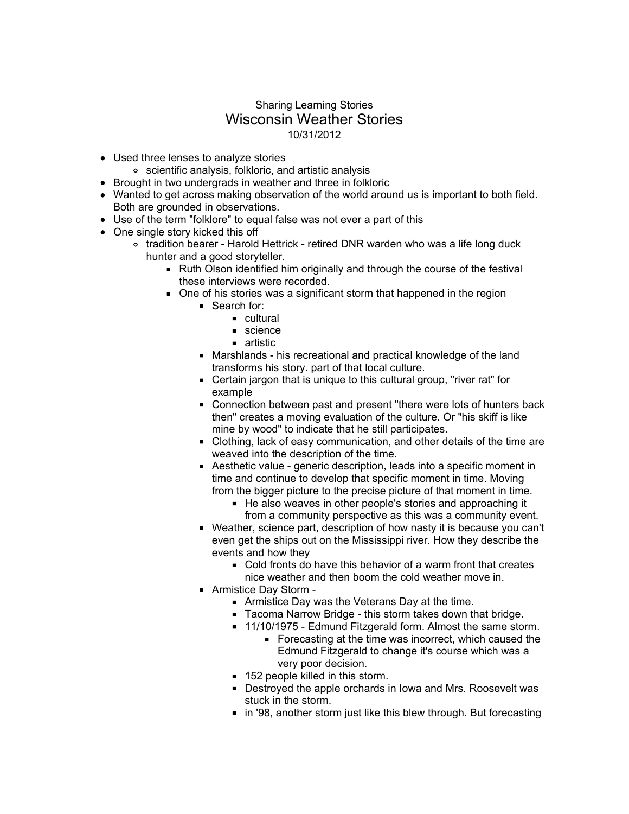## Sharing Learning Stories Wisconsin Weather Stories 10/31/2012

- Used three lenses to analyze stories
	- scientific analysis, folkloric, and artistic analysis
- Brought in two undergrads in weather and three in folkloric
- Wanted to get across making observation of the world around us is important to both field. Both are grounded in observations.
- Use of the term "folklore" to equal false was not ever a part of this
- One single story kicked this off
	- o tradition bearer Harold Hettrick retired DNR warden who was a life long duck hunter and a good storyteller.
		- **Ruth Olson identified him originally and through the course of the festival** these interviews were recorded.
		- One of his stories was a significant storm that happened in the region
			- Search for:
				- **cultural**
				- science
				- **artistic**
			- Marshlands his recreational and practical knowledge of the land transforms his story. part of that local culture.
			- Certain jargon that is unique to this cultural group, "river rat" for example
			- Connection between past and present "there were lots of hunters back then" creates a moving evaluation of the culture. Or "his skiff is like mine by wood" to indicate that he still participates.
			- Clothing, lack of easy communication, and other details of the time are weaved into the description of the time.
			- Aesthetic value generic description, leads into a specific moment in time and continue to develop that specific moment in time. Moving from the bigger picture to the precise picture of that moment in time.
				- He also weaves in other people's stories and approaching it from a community perspective as this was a community event.
			- Weather, science part, description of how nasty it is because you can't even get the ships out on the Mississippi river. How they describe the events and how they
				- Cold fronts do have this behavior of a warm front that creates nice weather and then boom the cold weather move in.
			- Armistice Day Storm
				- Armistice Day was the Veterans Day at the time.
				- Tacoma Narrow Bridge this storm takes down that bridge.
				- 11/10/1975 Edmund Fitzgerald form. Almost the same storm.
					- Forecasting at the time was incorrect, which caused the Edmund Fitzgerald to change it's course which was a very poor decision.
				- 152 people killed in this storm.
				- Destroyed the apple orchards in Iowa and Mrs. Roosevelt was stuck in the storm.
				- in '98, another storm just like this blew through. But forecasting